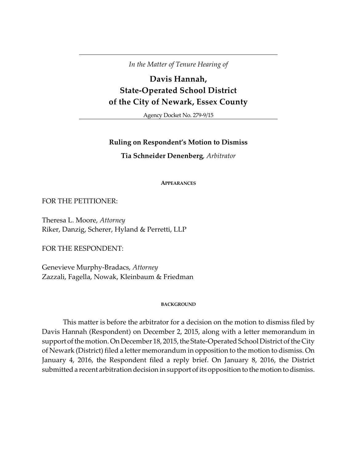*In the Matter of Tenure Hearing of*

# **Davis Hannah, State-Operated School District of the City of Newark, Essex County**

Agency Docket No. 279-9/15

## **Ruling on Respondent's Motion to Dismiss**

**Tia Schneider Denenberg**, *Arbitrator*

**APPEARANCES**

FOR THE PETITIONER:

Theresa L. Moore, *Attorney* Riker, Danzig, Scherer, Hyland & Perretti, LLP

FOR THE RESPONDENT:

Genevieve Murphy-Bradacs, *Attorney* Zazzali, Fagella, Nowak, Kleinbaum & Friedman

#### **BACKGROUND**

This matter is before the arbitrator for a decision on the motion to dismiss filed by Davis Hannah (Respondent) on December 2, 2015, along with a letter memorandum in support of the motion. On December 18, 2015, the State-Operated School District of the City of Newark (District) filed a letter memorandum in opposition to the motion to dismiss. On January 4, 2016, the Respondent filed a reply brief. On January 8, 2016, the District submitted a recent arbitration decision in support of its opposition to the motion to dismiss.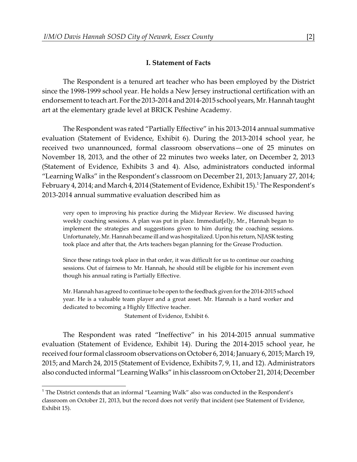## **I. Statement of Facts**

The Respondent is a tenured art teacher who has been employed by the District since the 1998-1999 school year. He holds a New Jersey instructional certification with an endorsement to teach art. For the 2013-2014 and 2014-2015 school years, Mr. Hannah taught art at the elementary grade level at BRICK Peshine Academy.

The Respondent was rated "Partially Effective" in his 2013-2014 annual summative evaluation (Statement of Evidence, Exhibit 6). During the 2013-2014 school year, he received two unannounced, formal classroom observations—one of 25 minutes on November 18, 2013, and the other of 22 minutes two weeks later, on December 2, 2013 (Statement of Evidence, Exhibits 3 and 4). Also, administrators conducted informal "Learning Walks" in the Respondent's classroom on December 21, 2013; January 27, 2014; February 4, 2014; and March 4, 2014 (Statement of Evidence, Exhibit 15).<sup>1</sup> The Respondent's 2013-2014 annual summative evaluation described him as

very open to improving his practice during the Midyear Review. We discussed having weekly coaching sessions. A plan was put in place. Immediat[el]y, Mr., Hannah began to implement the strategies and suggestions given to him during the coaching sessions. Unfortunately, Mr. Hannah became ill and was hospitalized. Upon his return, NJASK testing took place and after that, the Arts teachers began planning for the Grease Production.

Since these ratings took place in that order, it was difficult for us to continue our coaching sessions. Out of fairness to Mr. Hannah, he should still be eligible for his increment even though his annual rating is Partially Effective.

Mr. Hannah has agreed to continue to be open to the feedback given for the 2014-2015 school year. He is a valuable team player and a great asset. Mr. Hannah is a hard worker and dedicated to becoming a Highly Effective teacher.

Statement of Evidence, Exhibit 6.

The Respondent was rated "Ineffective" in his 2014-2015 annual summative evaluation (Statement of Evidence, Exhibit 14). During the 2014-2015 school year, he received four formal classroom observations on October 6, 2014; January 6, 2015; March 19, 2015; and March 24, 2015 (Statement of Evidence, Exhibits 7, 9, 11, and 12). Administrators also conducted informal "Learning Walks" in his classroom on October 21, 2014; December

<sup>&</sup>lt;sup>1</sup> The District contends that an informal "Learning Walk" also was conducted in the Respondent's classroom on October 21, 2013, but the record does not verify that incident (see Statement of Evidence, Exhibit 15).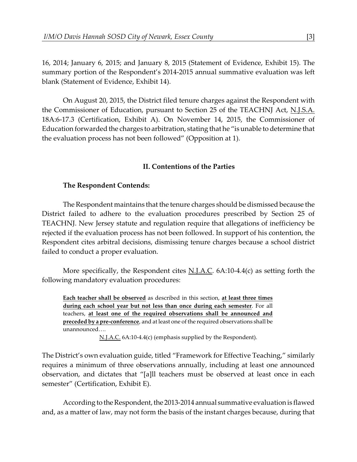16, 2014; January 6, 2015; and January 8, 2015 (Statement of Evidence, Exhibit 15). The summary portion of the Respondent's 2014-2015 annual summative evaluation was left blank (Statement of Evidence, Exhibit 14).

On August 20, 2015, the District filed tenure charges against the Respondent with the Commissioner of Education, pursuant to Section 25 of the TEACHNJ Act, N.J.S.A. 18A:6-17.3 (Certification, Exhibit A). On November 14, 2015, the Commissioner of Education forwarded the charges to arbitration, stating that he "is unable to determine that the evaluation process has not been followed" (Opposition at 1).

## **II. Contentions of the Parties**

## **The Respondent Contends:**

The Respondent maintains that the tenure charges should be dismissed because the District failed to adhere to the evaluation procedures prescribed by Section 25 of TEACHNJ. New Jersey statute and regulation require that allegations of inefficiency be rejected if the evaluation process has not been followed. In support of his contention, the Respondent cites arbitral decisions, dismissing tenure charges because a school district failed to conduct a proper evaluation.

More specifically, the Respondent cites  $N.I.A.C.$  6A:10-4.4(c) as setting forth the following mandatory evaluation procedures:

**Each teacher shall be observed** as described in this section, **at least three times during each school year but not less than once during each semester**. For all teachers, **at least one of the required observations shall be announced and preceded by a pre-conference**, and at least one of the required observations shall be unannounced….

N.J.A.C. 6A:10-4.4(c) (emphasis supplied by the Respondent).

The District's own evaluation guide, titled "Framework for Effective Teaching," similarly requires a minimum of three observations annually, including at least one announced observation, and dictates that "[a]ll teachers must be observed at least once in each semester" (Certification, Exhibit E).

According to the Respondent, the 2013-2014 annual summative evaluation is flawed and, as a matter of law, may not form the basis of the instant charges because, during that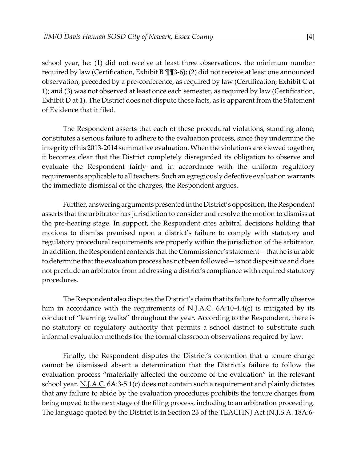school year, he: (1) did not receive at least three observations, the minimum number required by law (Certification, Exhibit B ¶¶3-6); (2) did not receive at least one announced observation, preceded by a pre-conference, as required by law (Certification, Exhibit C at 1); and (3) was not observed at least once each semester, as required by law (Certification, Exhibit D at 1). The District does not dispute these facts, as is apparent from the Statement of Evidence that it filed.

The Respondent asserts that each of these procedural violations, standing alone, constitutes a serious failure to adhere to the evaluation process, since they undermine the integrity of his 2013-2014 summative evaluation. When the violations are viewed together, it becomes clear that the District completely disregarded its obligation to observe and evaluate the Respondent fairly and in accordance with the uniform regulatory requirements applicable to all teachers. Such an egregiously defective evaluation warrants the immediate dismissal of the charges, the Respondent argues.

Further, answering arguments presented in the District's opposition, the Respondent asserts that the arbitrator has jurisdiction to consider and resolve the motion to dismiss at the pre-hearing stage. In support, the Respondent cites arbitral decisions holding that motions to dismiss premised upon a district's failure to comply with statutory and regulatory procedural requirements are properly within the jurisdiction of the arbitrator. In addition, the Respondent contends that the Commissioner's statement—that he is unable to determine that the evaluation process has not been followed — is not dispositive and does not preclude an arbitrator from addressing a district's compliance with required statutory procedures.

The Respondent also disputes the District's claim that its failure to formally observe him in accordance with the requirements of N.J.A.C. 6A:10-4.4(c) is mitigated by its conduct of "learning walks" throughout the year. According to the Respondent, there is no statutory or regulatory authority that permits a school district to substitute such informal evaluation methods for the formal classroom observations required by law.

Finally, the Respondent disputes the District's contention that a tenure charge cannot be dismissed absent a determination that the District's failure to follow the evaluation process "materially affected the outcome of the evaluation" in the relevant school year. N.J.A.C. 6A:3-5.1(c) does not contain such a requirement and plainly dictates that any failure to abide by the evaluation procedures prohibits the tenure charges from being moved to the next stage of the filing process, including to an arbitration proceeding. The language quoted by the District is in Section 23 of the TEACHNJ Act (N.J.S.A. 18A:6-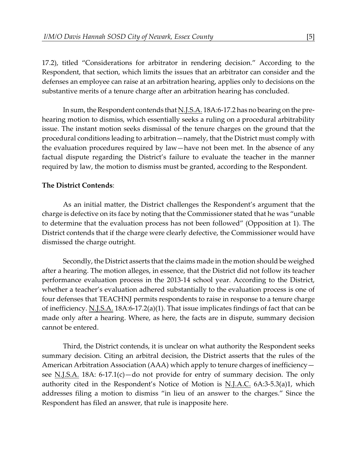17.2), titled "Considerations for arbitrator in rendering decision." According to the Respondent, that section, which limits the issues that an arbitrator can consider and the defenses an employee can raise at an arbitration hearing, applies only to decisions on the substantive merits of a tenure charge after an arbitration hearing has concluded.

In sum, the Respondent contends that N.J.S.A. 18A:6-17.2 has no bearing on the prehearing motion to dismiss, which essentially seeks a ruling on a procedural arbitrability issue. The instant motion seeks dismissal of the tenure charges on the ground that the procedural conditions leading to arbitration—namely, that the District must comply with the evaluation procedures required by law—have not been met. In the absence of any factual dispute regarding the District's failure to evaluate the teacher in the manner required by law, the motion to dismiss must be granted, according to the Respondent.

## **The District Contends**:

As an initial matter, the District challenges the Respondent's argument that the charge is defective on its face by noting that the Commissioner stated that he was "unable to determine that the evaluation process has not been followed" (Opposition at 1). The District contends that if the charge were clearly defective, the Commissioner would have dismissed the charge outright.

Secondly, the District asserts that the claims made in the motion should be weighed after a hearing. The motion alleges, in essence, that the District did not follow its teacher performance evaluation process in the 2013-14 school year. According to the District, whether a teacher's evaluation adhered substantially to the evaluation process is one of four defenses that TEACHNJ permits respondents to raise in response to a tenure charge of inefficiency. N.J.S.A. 18A:6-17.2(a)(1). That issue implicates findings of fact that can be made only after a hearing. Where, as here, the facts are in dispute, summary decision cannot be entered.

Third, the District contends, it is unclear on what authority the Respondent seeks summary decision. Citing an arbitral decision, the District asserts that the rules of the American Arbitration Association (AAA) which apply to tenure charges of inefficiency see N.J.S.A. 18A:  $6-17.1(c)$ —do not provide for entry of summary decision. The only authority cited in the Respondent's Notice of Motion is N.J.A.C.  $6A:3-5.3(a)1$ , which addresses filing a motion to dismiss "in lieu of an answer to the charges." Since the Respondent has filed an answer, that rule is inapposite here.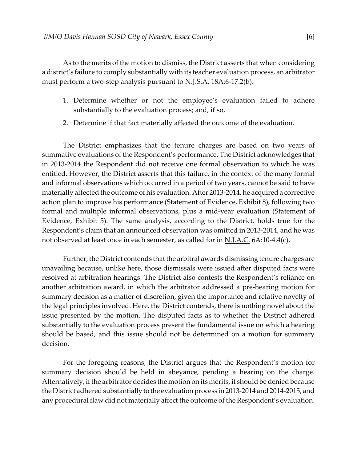As to the merits of the motion to dismiss, the District asserts that when considering a district's failure to comply substantially with its teacher evaluation process, an arbitrator must perform a two-step analysis pursuant to <u>N.J.S.A.</u> 18A:6-17.2(b):

- 1. Determine whether or not the employee's evaluation failed to adhere substantially to the evaluation process; and, if so,
- 2. Determine if that fact materially affected the outcome of the evaluation.

The District emphasizes that the tenure charges are based on two years of summative evaluations of the Respondent's performance. The District acknowledges that in 2013-2014 the Respondent did not receive one formal observation to which he was entitled. However, the District asserts that this failure, in the context of the many formal and informal observations which occurred in a period of two years, cannot be said to have materially affected the outcome of his evaluation. After 2013-2014, he acquired a corrective action plan to improve his performance (Statement of Evidence, Exhibit 8), following two formal and multiple informal observations, plus a mid-year evaluation (Statement of Evidence, Exhibit 5). The same analysis, according to the District, holds true for the Respondent's claim that an announced observation was omitted in 2013-2014, and he was not observed at least once in each semester, as called for in  $N.J.A.C.$  6A:10-4.4(c).

Further, the District contends that the arbitral awards dismissing tenure charges are unavailing because, unlike here, those dismissals were issued after disputed facts were resolved at arbitration hearings. The District also contests the Respondent's reliance on another arbitration award, in which the arbitrator addressed a pre-hearing motion for summary decision as a matter of discretion, given the importance and relative novelty of the legal principles involved. Here, the District contends, there is nothing novel about the issue presented by the motion. The disputed facts as to whether the District adhered substantially to the evaluation process present the fundamental issue on which a hearing should be based, and this issue should not be determined on a motion for summary decision.

For the foregoing reasons, the District argues that the Respondent's motion for summary decision should be held in abeyance, pending a hearing on the charge. Alternatively, if the arbitrator decides the motion on its merits, it should be denied because the District adhered substantially to the evaluation process in 2013-2014 and 2014-2015, and any procedural flaw did not materially affect the outcome of the Respondent's evaluation.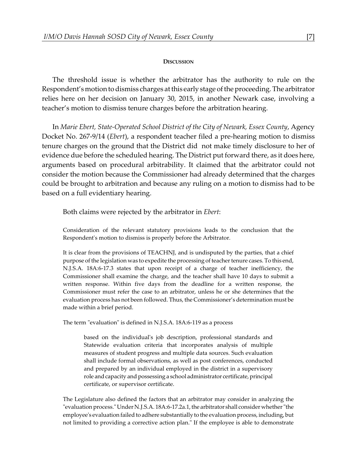#### **DISCUSSION**

The threshold issue is whether the arbitrator has the authority to rule on the Respondent's motion to dismiss charges at this early stage of the proceeding. The arbitrator relies here on her decision on January 30, 2015, in another Newark case, involving a teacher's motion to dismiss tenure charges before the arbitration hearing.

In *Marie Ebert, State-Operated School District of the City of Newark, Essex County*, Agency Docket No. 267-9/14 (*Ebert*), a respondent teacher filed a pre-hearing motion to dismiss tenure charges on the ground that the District did not make timely disclosure to her of evidence due before the scheduled hearing. The District put forward there, as it does here, arguments based on procedural arbitrability. It claimed that the arbitrator could not consider the motion because the Commissioner had already determined that the charges could be brought to arbitration and because any ruling on a motion to dismiss had to be based on a full evidentiary hearing.

Both claims were rejected by the arbitrator in *Ebert*:

Consideration of the relevant statutory provisions leads to the conclusion that the Respondent's motion to dismiss is properly before the Arbitrator.

It is clear from the provisions of TEACHNJ, and is undisputed by the parties, that a chief purpose of the legislation was to expedite the processing of teacher tenure cases. To this end, N.J.S.A. 18A:6-17.3 states that upon receipt of a charge of teacher inefficiency, the Commissioner shall examine the charge, and the teacher shall have 10 days to submit a written response. Within five days from the deadline for a written response, the Commissioner must refer the case to an arbitrator, unless he or she determines that the evaluation process has not been followed. Thus, the Commissioner's determination must be made within a brief period.

The term "evaluation" is defined in N.J.S.A. 18A:6-119 as a process

based on the individual's job description, professional standards and Statewide evaluation criteria that incorporates analysis of multiple measures of student progress and multiple data sources. Such evaluation shall include formal observations, as well as post conferences, conducted and prepared by an individual employed in the district in a supervisory role and capacity and possessing a school administrator certificate, principal certificate, or supervisor certificate.

The Legislature also defined the factors that an arbitrator may consider in analyzing the "evaluation process." Under N.J.S.A. 18A:6-17.2a.1, the arbitrator shall consider whether "the employee's evaluation failed to adhere substantially to the evaluation process, including, but not limited to providing a corrective action plan." If the employee is able to demonstrate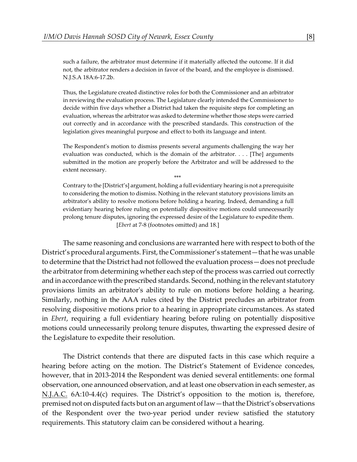such a failure, the arbitrator must determine if it materially affected the outcome. If it did not, the arbitrator renders a decision in favor of the board, and the employee is dismissed. N.J.S.A 18A:6-17.2b.

Thus, the Legislature created distinctive roles for both the Commissioner and an arbitrator in reviewing the evaluation process. The Legislature clearly intended the Commissioner to decide within five days whether a District had taken the requisite steps for completing an evaluation, whereas the arbitrator was asked to determine whether those steps were carried out correctly and in accordance with the prescribed standards. This construction of the legislation gives meaningful purpose and effect to both its language and intent.

The Respondent's motion to dismiss presents several arguments challenging the way her evaluation was conducted, which is the domain of the arbitrator. . . . [The] arguments submitted in the motion are properly before the Arbitrator and will be addressed to the extent necessary.

\*\*\*

Contrary to the [District's] argument, holding a full evidentiary hearing is not a prerequisite to considering the motion to dismiss. Nothing in the relevant statutory provisions limits an arbitrator's ability to resolve motions before holding a hearing. Indeed, demanding a full evidentiary hearing before ruling on potentially dispositive motions could unnecessarily prolong tenure disputes, ignoring the expressed desire of the Legislature to expedite them. [*Ebert* at 7-8 (footnotes omitted) and 18.]

The same reasoning and conclusions are warranted here with respect to both of the District's procedural arguments. First, the Commissioner's statement—that he was unable to determine that the District had not followed the evaluation process—does not preclude the arbitrator from determining whether each step of the process was carried out correctly and in accordance with the prescribed standards. Second, nothing in the relevant statutory provisions limits an arbitrator's ability to rule on motions before holding a hearing. Similarly, nothing in the AAA rules cited by the District precludes an arbitrator from resolving dispositive motions prior to a hearing in appropriate circumstances. As stated in *Ebert*, requiring a full evidentiary hearing before ruling on potentially dispositive motions could unnecessarily prolong tenure disputes, thwarting the expressed desire of the Legislature to expedite their resolution.

The District contends that there are disputed facts in this case which require a hearing before acting on the motion. The District's Statement of Evidence concedes, however, that in 2013-2014 the Respondent was denied several entitlements: one formal observation, one announced observation, and at least one observation in each semester, as N.J.A.C. 6A:10-4.4(c) requires. The District's opposition to the motion is, therefore, premised not on disputed facts but on an argument of law—that the District's observations of the Respondent over the two-year period under review satisfied the statutory requirements. This statutory claim can be considered without a hearing.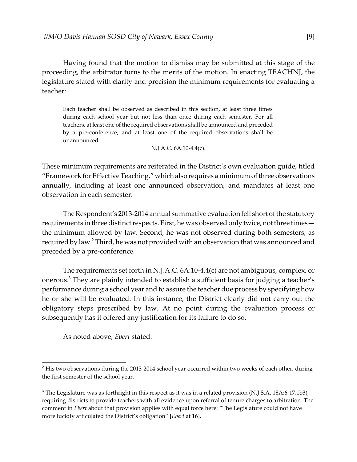Having found that the motion to dismiss may be submitted at this stage of the proceeding, the arbitrator turns to the merits of the motion. In enacting TEACHNJ, the legislature stated with clarity and precision the minimum requirements for evaluating a teacher:

Each teacher shall be observed as described in this section, at least three times during each school year but not less than once during each semester. For all teachers, at least one of the required observations shall be announced and preceded by a pre-conference, and at least one of the required observations shall be unannounced….

#### N.J.A.C. 6A:10-4.4(c).

These minimum requirements are reiterated in the District's own evaluation guide, titled "Framework for Effective Teaching," which also requires a minimum of three observations annually, including at least one announced observation, and mandates at least one observation in each semester.

The Respondent's 2013-2014 annual summative evaluation fell short of the statutory requirements in three distinct respects. First, he was observed only twice, not three times the minimum allowed by law. Second, he was not observed during both semesters, as required by law.<sup>2</sup> Third, he was not provided with an observation that was announced and preceded by a pre-conference.

The requirements set forth in N.J.A.C. 6A:10-4.4(c) are not ambiguous, complex, or onerous.<sup>3</sup> They are plainly intended to establish a sufficient basis for judging a teacher's performance during a school year and to assure the teacher due process by specifying how he or she will be evaluated. In this instance, the District clearly did not carry out the obligatory steps prescribed by law. At no point during the evaluation process or subsequently has it offered any justification for its failure to do so.

As noted above, *Ebert* stated:

 $2$  His two observations during the 2013-2014 school year occurred within two weeks of each other, during the first semester of the school year.

<sup>&</sup>lt;sup>3</sup> The Legislature was as forthright in this respect as it was in a related provision (N.J.S.A. 18A:6-17.1b3), requiring districts to provide teachers with all evidence upon referral of tenure charges to arbitration. The comment in *Ebert* about that provision applies with equal force here: "The Legislature could not have more lucidly articulated the District's obligation" [*Ebert* at 16].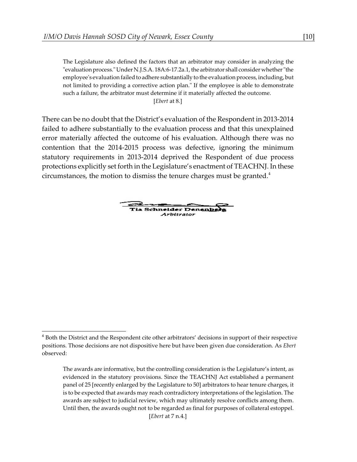The Legislature also defined the factors that an arbitrator may consider in analyzing the "evaluation process." Under N.J.S.A. 18A:6-17.2a.1, the arbitrator shall consider whether "the employee's evaluation failed to adhere substantially to the evaluation process, including, but not limited to providing a corrective action plan." If the employee is able to demonstrate such a failure, the arbitrator must determine if it materially affected the outcome.

[*Ebert* at 8.]

There can be no doubt that the District's evaluation of the Respondent in 2013-2014 failed to adhere substantially to the evaluation process and that this unexplained error materially affected the outcome of his evaluation. Although there was no contention that the 2014-2015 process was defective, ignoring the minimum statutory requirements in 2013-2014 deprived the Respondent of due process protections explicitly set forth in the Legislature's enactment of TEACHNJ. In these circumstances, the motion to dismiss the tenure charges must be granted.<sup>4</sup>

Tia Schneider Denenberg Arbitrator

 $<sup>4</sup>$  Both the District and the Respondent cite other arbitrators' decisions in support of their respective</sup> positions. Those decisions are not dispositive here but have been given due consideration. As *Ebert* observed:

The awards are informative, but the controlling consideration is the Legislature's intent, as evidenced in the statutory provisions. Since the TEACHNJ Act established a permanent panel of 25 [recently enlarged by the Legislature to 50] arbitrators to hear tenure charges, it is to be expected that awards may reach contradictory interpretations of the legislation. The awards are subject to judicial review, which may ultimately resolve conflicts among them. Until then, the awards ought not to be regarded as final for purposes of collateral estoppel.